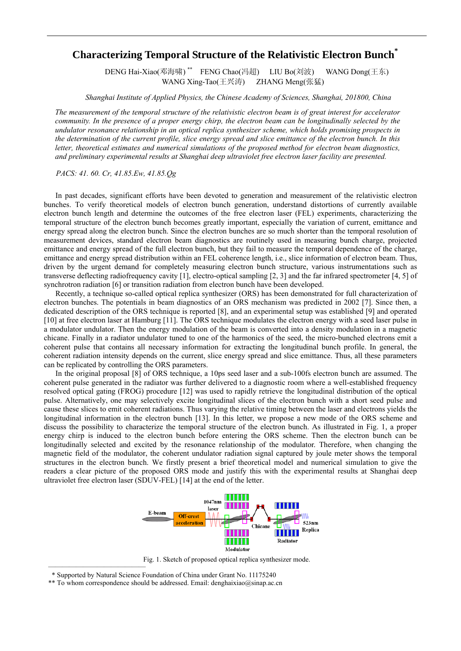## **Characterizing Temporal Structure of the Relativistic Electron Bunch\***

 DENG Hai-Xiao(邓海啸) \*\* FENG Chao(冯超) LIU Bo(刘波) WANG Dong(王东) WANG Xing-Tao(王兴涛) ZHANG Meng(张猛)

*Shanghai Institute of Applied Physics, the Chinese Academy of Sciences, Shanghai, 201800, China* 

*The measurement of the temporal structure of the relativistic electron beam is of great interest for accelerator community. In the presence of a proper energy chirp, the electron beam can be longitudinally selected by the undulator resonance relationship in an optical replica synthesizer scheme, which holds promising prospects in the determination of the current profile, slice energy spread and slice emittance of the electron bunch. In this letter, theoretical estimates and numerical simulations of the proposed method for electron beam diagnostics, and preliminary experimental results at Shanghai deep ultraviolet free electron laser facility are presented.*

*PACS: 41. 60. Cr, 41.85.Ew, 41.85.Qg*

In past decades, significant efforts have been devoted to generation and measurement of the relativistic electron bunches. To verify theoretical models of electron bunch generation, understand distortions of currently available electron bunch length and determine the outcomes of the free electron laser (FEL) experiments, characterizing the temporal structure of the electron bunch becomes greatly important, especially the variation of current, emittance and energy spread along the electron bunch. Since the electron bunches are so much shorter than the temporal resolution of measurement devices, standard electron beam diagnostics are routinely used in measuring bunch charge, projected emittance and energy spread of the full electron bunch, but they fail to measure the temporal dependence of the charge, emittance and energy spread distribution within an FEL coherence length, i.e., slice information of electron beam. Thus, driven by the urgent demand for completely measuring electron bunch structure, various instrumentations such as transverse deflecting radiofrequency cavity [1], electro-optical sampling [2, 3] and the far infrared spectrometer [4, 5] of synchrotron radiation [6] or transition radiation from electron bunch have been developed.

Recently, a technique so-called optical replica synthesizer (ORS) has been demonstrated for full characterization of electron bunches. The potentials in beam diagnostics of an ORS mechanism was predicted in 2002 [7]. Since then, a dedicated description of the ORS technique is reported [8], and an experimental setup was established [9] and operated [10] at free electron laser at Hamburg [11]. The ORS technique modulates the electron energy with a seed laser pulse in a modulator undulator. Then the energy modulation of the beam is converted into a density modulation in a magnetic chicane. Finally in a radiator undulator tuned to one of the harmonics of the seed, the micro-bunched electrons emit a coherent pulse that contains all necessary information for extracting the longitudinal bunch profile. In general, the coherent radiation intensity depends on the current, slice energy spread and slice emittance. Thus, all these parameters can be replicated by controlling the ORS parameters.

In the original proposal [8] of ORS technique, a 10ps seed laser and a sub-100fs electron bunch are assumed. The coherent pulse generated in the radiator was further delivered to a diagnostic room where a well-established frequency resolved optical gating (FROG) procedure [12] was used to rapidly retrieve the longitudinal distribution of the optical pulse. Alternatively, one may selectively excite longitudinal slices of the electron bunch with a short seed pulse and cause these slices to emit coherent radiations. Thus varying the relative timing between the laser and electrons yields the longitudinal information in the electron bunch [13]. In this letter, we propose a new mode of the ORS scheme and discuss the possibility to characterize the temporal structure of the electron bunch. As illustrated in Fig. 1, a proper energy chirp is induced to the electron bunch before entering the ORS scheme. Then the electron bunch can be longitudinally selected and excited by the resonance relationship of the modulator. Therefore, when changing the magnetic field of the modulator, the coherent undulator radiation signal captured by joule meter shows the temporal structures in the electron bunch. We firstly present a brief theoretical model and numerical simulation to give the readers a clear picture of the proposed ORS mode and justify this with the experimental results at Shanghai deep ultraviolet free electron laser (SDUV-FEL) [14] at the end of the letter.



—————————————— Fig. 1. Sketch of proposed optical replica synthesizer mode.

<sup>\*</sup> Supported by Natural Science Foundation of China under Grant No. 11175240

<sup>\*\*</sup> To whom correspondence should be addressed. Email: denghaixiao@sinap.ac.cn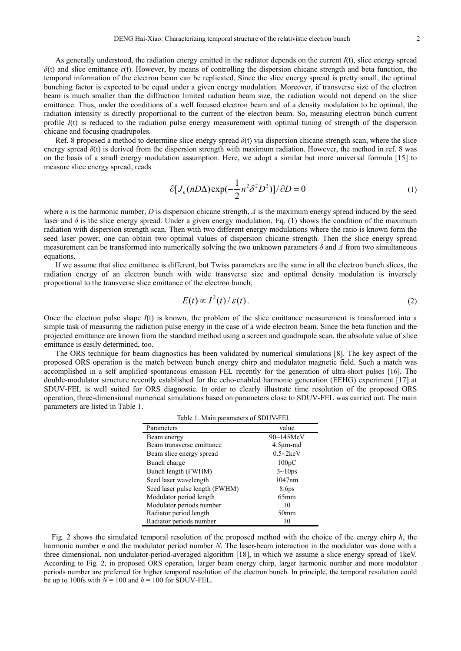As generally understood, the radiation energy emitted in the radiator depends on the current *I*(t), slice energy spread *δ*(t) and slice emittance *ε*(t). However, by means of controlling the dispersion chicane strength and beta function, the temporal information of the electron beam can be replicated. Since the slice energy spread is pretty small, the optimal bunching factor is expected to be equal under a given energy modulation. Moreover, if transverse size of the electron beam is much smaller than the diffraction limited radiation beam size, the radiation would not depend on the slice emittance. Thus, under the conditions of a well focused electron beam and of a density modulation to be optimal, the radiation intensity is directly proportional to the current of the electron beam. So, measuring electron bunch current profile  $I(t)$  is reduced to the radiation pulse energy measurement with optimal tuning of strength of the dispersion chicane and focusing quadrupoles.

Ref. 8 proposed a method to determine slice energy spread *δ*(t) via dispersion chicane strength scan, where the slice energy spread  $\delta(t)$  is derived from the dispersion strength with maximum radiation. However, the method in ref. 8 was on the basis of a small energy modulation assumption. Here, we adopt a similar but more universal formula [15] to measure slice energy spread, reads

$$
\partial [J_n(nD\Delta)\exp(-\frac{1}{2}n^2\delta^2D^2)]/\partial D = 0
$$
\n(1)

where *n* is the harmonic number, *D* is dispersion chicane strength, *Δ* is the maximum energy spread induced by the seed laser and  $\delta$  is the slice energy spread. Under a given energy modulation, Eq. (1) shows the condition of the maximum radiation with dispersion strength scan. Then with two different energy modulations where the ratio is known form the seed laser power, one can obtain two optimal values of dispersion chicane strength. Then the slice energy spread measurement can be transformed into numerically solving the two unknown parameters *δ* and *Δ* from two simultaneous equations.

If we assume that slice emittance is different, but Twiss parameters are the same in all the electron bunch slices, the radiation energy of an electron bunch with wide transverse size and optimal density modulation is inversely proportional to the transverse slice emittance of the electron bunch,

$$
E(t) \propto I^2(t) / \varepsilon(t). \tag{2}
$$

Once the electron pulse shape *I*(t) is known, the problem of the slice emittance measurement is transformed into a simple task of measuring the radiation pulse energy in the case of a wide electron beam. Since the beta function and the projected emittance are known from the standard method using a screen and quadrupole scan, the absolute value of slice emittance is easily determined, too.

The ORS technique for beam diagnostics has been validated by numerical simulations [8]. The key aspect of the proposed ORS operation is the match between bunch energy chirp and modulator magnetic field. Such a match was accomplished in a self amplified spontaneous emission FEL recently for the generation of ultra-short pulses [16]. The double-modulator structure recently established for the echo-enabled harmonic generation (EEHG) experiment [17] at SDUV-FEL is well suited for ORS diagnostic. In order to clearly illustrate time resolution of the proposed ORS operation, three-dimensional numerical simulations based on parameters close to SDUV-FEL was carried out. The main parameters are listed in Table 1.

| Table 1. Main parameters of SDUV-FEL |  |  |
|--------------------------------------|--|--|
|--------------------------------------|--|--|

| Parameters                     | value            |
|--------------------------------|------------------|
| Beam energy                    | 90~145MeV        |
| Beam transverse emittance      | $4.5 \mu m$ -rad |
| Beam slice energy spread       | $0.5 \sim 2keV$  |
| Bunch charge                   | 100pC            |
| Bunch length (FWHM)            | $3 \sim 10$ ps   |
| Seed laser wavelength          | 1047nm           |
| Seed laser pulse length (FWHM) | 8.6ps            |
| Modulator period length        | $65$ mm          |
| Modulator periods number       | 10               |
| Radiator period length         | 50 <sub>mm</sub> |
| Radiator periods number        |                  |

Fig. 2 shows the simulated temporal resolution of the proposed method with the choice of the energy chirp *h*, the harmonic number *n* and the modulator period number *N*. The laser-beam interaction in the modulator was done with a three dimensional, non undulator-period-averaged algorithm [18], in which we assume a slice energy spread of 1keV. According to Fig. 2, in proposed ORS operation, larger beam energy chirp, larger harmonic number and more modulator periods number are preferred for higher temporal resolution of the electron bunch. In principle, the temporal resolution could be up to 100fs with  $N = 100$  and  $h = 100$  for SDUV-FEL.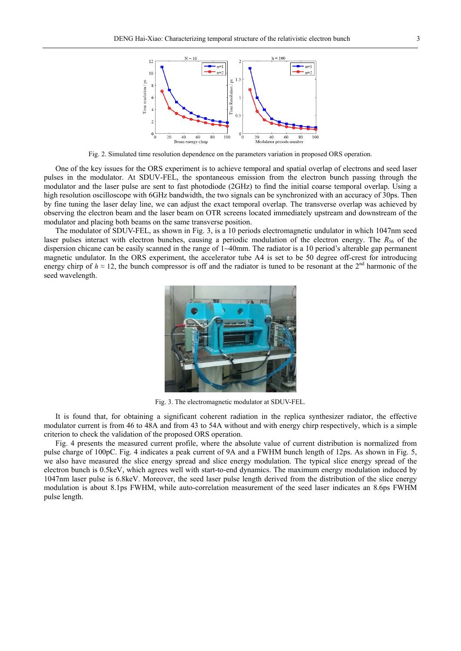

Fig. 2. Simulated time resolution dependence on the parameters variation in proposed ORS operation.

One of the key issues for the ORS experiment is to achieve temporal and spatial overlap of electrons and seed laser pulses in the modulator. At SDUV-FEL, the spontaneous emission from the electron bunch passing through the modulator and the laser pulse are sent to fast photodiode (2GHz) to find the initial coarse temporal overlap. Using a high resolution oscilloscope with 6GHz bandwidth, the two signals can be synchronized with an accuracy of 30ps. Then by fine tuning the laser delay line, we can adjust the exact temporal overlap. The transverse overlap was achieved by observing the electron beam and the laser beam on OTR screens located immediately upstream and downstream of the modulator and placing both beams on the same transverse position.

The modulator of SDUV-FEL, as shown in Fig. 3, is a 10 periods electromagnetic undulator in which 1047nm seed laser pulses interact with electron bunches, causing a periodic modulation of the electron energy. The *R*<sub>56</sub> of the dispersion chicane can be easily scanned in the range of 1~40mm. The radiator is a 10 period's alterable gap permanent magnetic undulator. In the ORS experiment, the accelerator tube A4 is set to be 50 degree off-crest for introducing energy chirp of  $h \approx 12$ , the bunch compressor is off and the radiator is tuned to be resonant at the 2<sup>nd</sup> harmonic of the seed wavelength.



Fig. 3. The electromagnetic modulator at SDUV-FEL.

It is found that, for obtaining a significant coherent radiation in the replica synthesizer radiator, the effective modulator current is from 46 to 48A and from 43 to 54A without and with energy chirp respectively, which is a simple criterion to check the validation of the proposed ORS operation.

Fig. 4 presents the measured current profile, where the absolute value of current distribution is normalized from pulse charge of 100pC. Fig. 4 indicates a peak current of 9A and a FWHM bunch length of 12ps. As shown in Fig. 5, we also have measured the slice energy spread and slice energy modulation. The typical slice energy spread of the electron bunch is 0.5keV, which agrees well with start-to-end dynamics. The maximum energy modulation induced by 1047nm laser pulse is 6.8keV. Moreover, the seed laser pulse length derived from the distribution of the slice energy modulation is about 8.1ps FWHM, while auto-correlation measurement of the seed laser indicates an 8.6ps FWHM pulse length.